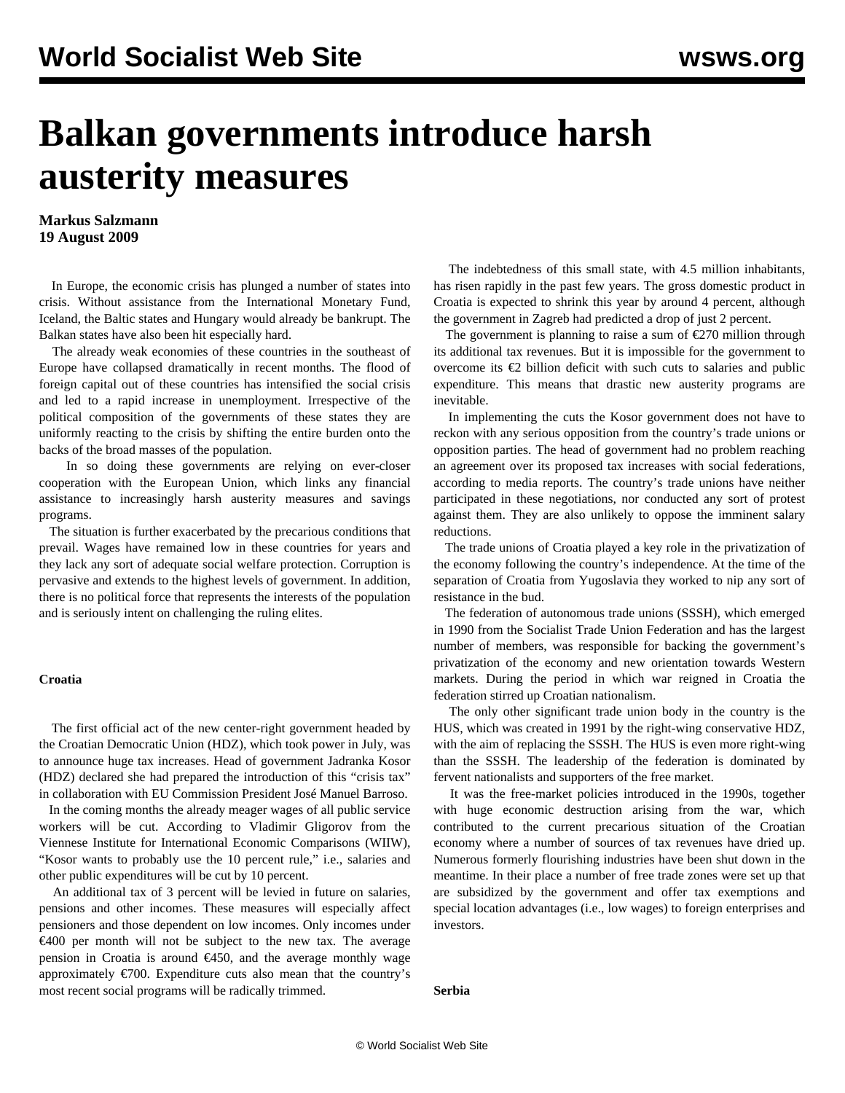# **Balkan governments introduce harsh austerity measures**

### **Markus Salzmann 19 August 2009**

 In Europe, the economic crisis has plunged a number of states into crisis. Without assistance from the International Monetary Fund, Iceland, the Baltic states and Hungary would already be bankrupt. The Balkan states have also been hit especially hard.

 The already weak economies of these countries in the southeast of Europe have collapsed dramatically in recent months. The flood of foreign capital out of these countries has intensified the social crisis and led to a rapid increase in unemployment. Irrespective of the political composition of the governments of these states they are uniformly reacting to the crisis by shifting the entire burden onto the backs of the broad masses of the population.

 In so doing these governments are relying on ever-closer cooperation with the European Union, which links any financial assistance to increasingly harsh austerity measures and savings programs.

 The situation is further exacerbated by the precarious conditions that prevail. Wages have remained low in these countries for years and they lack any sort of adequate social welfare protection. Corruption is pervasive and extends to the highest levels of government. In addition, there is no political force that represents the interests of the population and is seriously intent on challenging the ruling elites.

#### **Croatia**

 The first official act of the new center-right government headed by the Croatian Democratic Union (HDZ), which took power in July, was to announce huge tax increases. Head of government Jadranka Kosor (HDZ) declared she had prepared the introduction of this "crisis tax" in collaboration with EU Commission President José Manuel Barroso.

 In the coming months the already meager wages of all public service workers will be cut. According to Vladimir Gligorov from the Viennese Institute for International Economic Comparisons (WIIW), "Kosor wants to probably use the 10 percent rule," i.e., salaries and other public expenditures will be cut by 10 percent.

 An additional tax of 3 percent will be levied in future on salaries, pensions and other incomes. These measures will especially affect pensioners and those dependent on low incomes. Only incomes under €400 per month will not be subject to the new tax. The average pension in Croatia is around  $\epsilon$ 450, and the average monthly wage approximately  $\epsilon$ 700. Expenditure cuts also mean that the country's most recent social programs will be radically trimmed.

 The indebtedness of this small state, with 4.5 million inhabitants, has risen rapidly in the past few years. The gross domestic product in Croatia is expected to shrink this year by around 4 percent, although the government in Zagreb had predicted a drop of just 2 percent.

The government is planning to raise a sum of  $\epsilon$ 270 million through its additional tax revenues. But it is impossible for the government to overcome its  $\epsilon$ 2 billion deficit with such cuts to salaries and public expenditure. This means that drastic new austerity programs are inevitable.

 In implementing the cuts the Kosor government does not have to reckon with any serious opposition from the country's trade unions or opposition parties. The head of government had no problem reaching an agreement over its proposed tax increases with social federations, according to media reports. The country's trade unions have neither participated in these negotiations, nor conducted any sort of protest against them. They are also unlikely to oppose the imminent salary reductions.

 The trade unions of Croatia played a key role in the privatization of the economy following the country's independence. At the time of the separation of Croatia from Yugoslavia they worked to nip any sort of resistance in the bud.

 The federation of autonomous trade unions (SSSH), which emerged in 1990 from the Socialist Trade Union Federation and has the largest number of members, was responsible for backing the government's privatization of the economy and new orientation towards Western markets. During the period in which war reigned in Croatia the federation stirred up Croatian nationalism.

 The only other significant trade union body in the country is the HUS, which was created in 1991 by the right-wing conservative HDZ, with the aim of replacing the SSSH. The HUS is even more right-wing than the SSSH. The leadership of the federation is dominated by fervent nationalists and supporters of the free market.

 It was the free-market policies introduced in the 1990s, together with huge economic destruction arising from the war, which contributed to the current precarious situation of the Croatian economy where a number of sources of tax revenues have dried up. Numerous formerly flourishing industries have been shut down in the meantime. In their place a number of free trade zones were set up that are subsidized by the government and offer tax exemptions and special location advantages (i.e., low wages) to foreign enterprises and investors.

**Serbia**